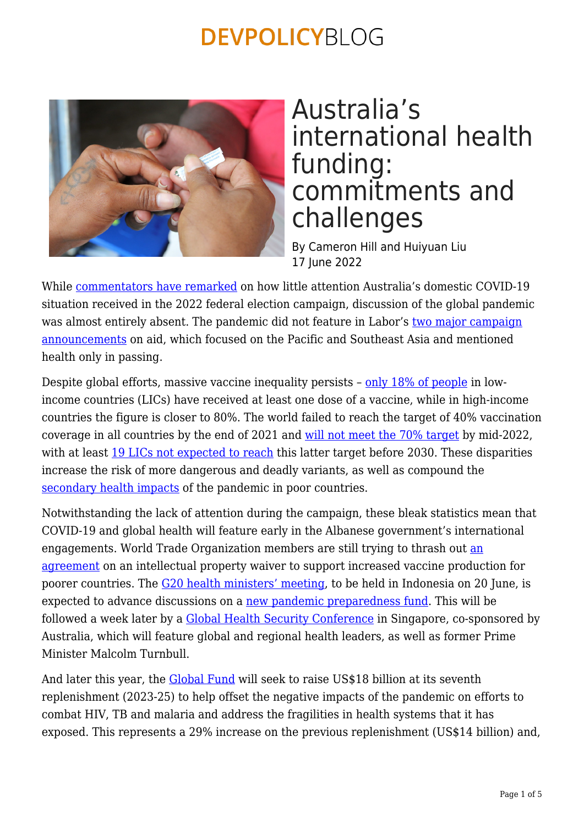

## Australia's international health funding: commitments and challenges

By Cameron Hill and Huiyuan Liu 17 June 2022

While [commentators have remarked](https://www.abc.net.au/news/2022-05-20/covid-dirty-word-election-campaign/101076990) on how little attention Australia's domestic COVID-19 situation received in the 2022 federal election campaign, discussion of the global pandemic was almost entirely absent. The pandemic did not feature in Labor's [two major campaign](https://devpolicy.org/aid-campaign-wrap-labor-to-cut-by-less-than-coalition-20220520/) [announcements](https://devpolicy.org/aid-campaign-wrap-labor-to-cut-by-less-than-coalition-20220520/) on aid, which focused on the Pacific and Southeast Asia and mentioned health only in passing.

Despite global efforts, massive vaccine inequality persists – [only 18% of people](https://ourworldindata.org/covid-vaccinations) in lowincome countries (LICs) have received at least one dose of a vaccine, while in high-income countries the figure is closer to 80%. The world failed to reach the target of 40% vaccination coverage in all countries by the end of 2021 and [will not meet the 70% target](https://www.cgdev.org/blog/time-rethink-goal-70-percent-covid-vaccine-coverage-and-refocus-those-greatest-risk) by mid-2022, with at least [19 LICs not expected to reach](https://onlinelibrary.wiley.com/doi/10.1111/1753-6405.13268) this latter target before 2030. These disparities increase the risk of more dangerous and deadly variants, as well as compound the [secondary health impacts](https://www.un.org/development/desa/dpad/wp-content/uploads/sites/45/publication/CDP_Comprehensive_Study_2021.pdf) of the pandemic in poor countries.

Notwithstanding the lack of attention during the campaign, these bleak statistics mean that COVID-19 and global health will feature early in the Albanese government's international engagements. World Trade Organization members are still trying to thrash out [an](https://www.devex.com/news/can-the-wto-meeting-finally-deliver-a-trips-deal-103416) [agreement](https://www.devex.com/news/can-the-wto-meeting-finally-deliver-a-trips-deal-103416) on an intellectual property waiver to support increased vaccine production for poorer countries. The [G20 health ministers' meeting](https://g20.org/events/1st-health-ministerial-meeting/), to be held in Indonesia on 20 June, is expected to advance discussions on a [new pandemic preparedness fund.](https://www.reuters.com/business/healthcare-pharmaceuticals/g20-agrees-set-up-global-pandemic-preparedness-fund-2022-04-21/) This will be followed a week later by a [Global Health Security Conference](https://www.ghsconf.com/event/ce6e8302-3682-4893-9a1f-26827766de77/summary) in Singapore, co-sponsored by Australia, which will feature global and regional health leaders, as well as former Prime Minister Malcolm Turnbull.

And later this year, the **Global Fund** will seek to raise US\$18 billion at its seventh replenishment (2023-25) to help offset the negative impacts of the pandemic on efforts to combat HIV, TB and malaria and address the fragilities in health systems that it has exposed. This represents a 29% increase on the previous replenishment (US\$14 billion) and,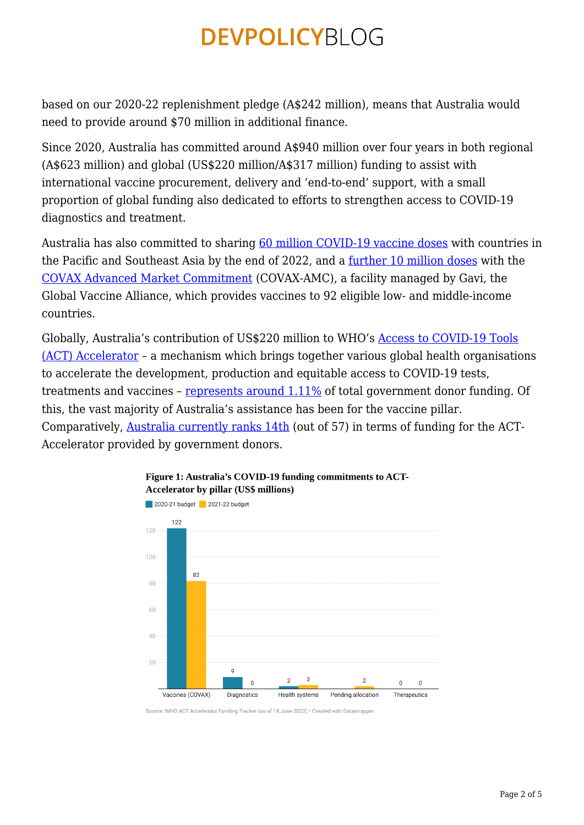based on our 2020-22 replenishment pledge (A\$242 million), means that Australia would need to provide around \$70 million in additional finance.

Since 2020, Australia has committed around A\$940 million over four years in both regional (A\$623 million) and global (US\$220 million/A\$317 million) funding to assist with international vaccine procurement, delivery and 'end-to-end' support, with a small proportion of global funding also dedicated to efforts to strengthen access to COVID-19 diagnostics and treatment.

Australia has also committed to sharing [60 million COVID-19 vaccine doses](https://indopacifichealthsecurity.dfat.gov.au/vaccine-access#:~:text=Australia%20has%20committed%20to%20share,by%20the%20end%20of%202022.) with countries in the Pacific and Southeast Asia by the end of 2022, and a [further 10 million doses](https://www.foreignminister.gov.au/minister/marise-payne/media-release/additional-support-global-covid-vaccine-access) with the [COVAX Advanced Market Commitment](https://www.gavi.org/gavi-covax-amc) (COVAX-AMC), a facility managed by Gavi, the Global Vaccine Alliance, which provides vaccines to 92 eligible low- and middle-income countries.

Globally, Australia's contribution of US\$220 million to WHO's [Access to COVID-19 Tools](https://www.who.int/initiatives/act-accelerator) [\(ACT\) Accelerator](https://www.who.int/initiatives/act-accelerator) – a mechanism which brings together various global health organisations to accelerate the development, production and equitable access to COVID-19 tests, treatments and vaccines – [represents around 1.11%](https://www.who.int/publications/m/item/access-to-covid-19-tools-tracker) of total government donor funding. Of this, the vast majority of Australia's assistance has been for the vaccine pillar. Comparatively, [Australia currently ranks 14th](https://www.who.int/publications/m/item/access-to-covid-19-tools-tracker) (out of 57) in terms of funding for the ACT-Accelerator provided by government donors.



### Figure 1: Australia's COVID-19 funding commitments to ACT-**Accelerator by pillar (US\$ millions)**

Source: WHO ACT Accelerator Funding Tracker (as of 14 June 2022) • Created with Datawrapper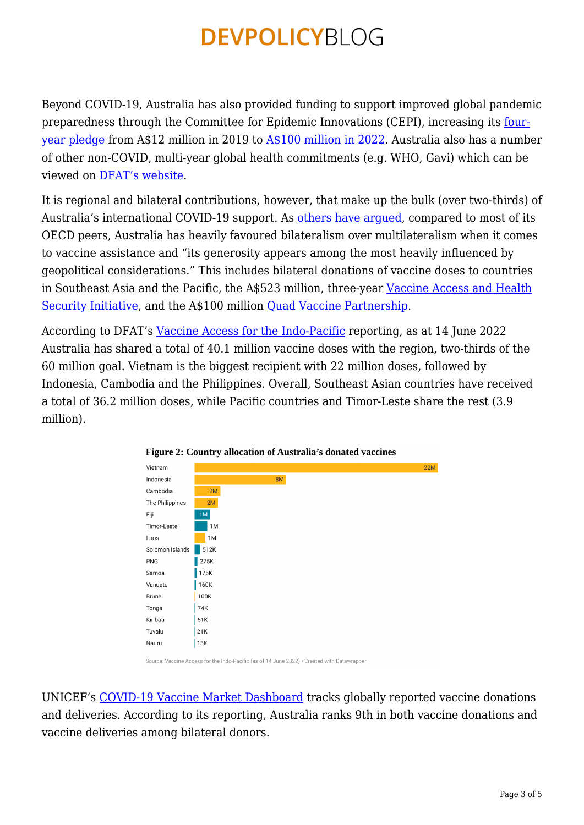Beyond COVID-19, Australia has also provided funding to support improved global pandemic preparedness through the Committee for Epidemic Innovations (CEPI), increasing its [four](https://indopacifichealthsecurity.dfat.gov.au/coalition-epidemic-preparedness-innovations-cepi)[year pledge](https://indopacifichealthsecurity.dfat.gov.au/coalition-epidemic-preparedness-innovations-cepi) from A\$12 million in 2019 to [A\\$100 million in 2022](https://www.foreignminister.gov.au/minister/marise-payne/media-release/additional-support-global-covid-vaccine-access). Australia also has a number of other non-COVID, multi-year global health commitments (e.g. WHO, Gavi) which can be viewed on [DFAT's website](https://www.dfat.gov.au/development/topics/development-issues/education-health/health/global-health-initiatives).

It is regional and bilateral contributions, however, that make up the bulk (over two-thirds) of Australia's international COVID-19 support. As [others have argued,](https://www.lowyinstitute.org/the-interpreter/assessing-australias-role-global-vaccine-equity) compared to most of its OECD peers, Australia has heavily favoured bilateralism over multilateralism when it comes to vaccine assistance and "its generosity appears among the most heavily influenced by geopolitical considerations." This includes bilateral donations of vaccine doses to countries in Southeast Asia and the Pacific, the A\$523 million, three-year [Vaccine Access and Health](https://www.foreignminister.gov.au/minister/marise-payne/media-release/australian-support-covid-19-vaccine-access-pacific-and-southeast-asia) [Security Initiative,](https://www.foreignminister.gov.au/minister/marise-payne/media-release/australian-support-covid-19-vaccine-access-pacific-and-southeast-asia) and the A\$100 million [Quad Vaccine Partnership.](https://indopacifichealthsecurity.dfat.gov.au/quad-initiative#:~:text=png,in%20the%20Indo%2DPacific%20region.)

According to DFAT's [Vaccine Access for the Indo-Pacific](https://indopacifichealthsecurity.dfat.gov.au/vaccine-access) reporting, as at 14 June 2022 Australia has shared a total of 40.1 million vaccine doses with the region, two-thirds of the 60 million goal. Vietnam is the biggest recipient with 22 million doses, followed by Indonesia, Cambodia and the Philippines. Overall, Southeast Asian countries have received a total of 36.2 million doses, while Pacific countries and Timor-Leste share the rest (3.9 million).





Source: Vaccine Access for the Indo-Pacific (as of 14 June 2022) • Created with Datawrapper

UNICEF's [COVID-19 Vaccine Market Dashboard](https://www.unicef.org/supply/covid-19-vaccine-market-dashboard) tracks globally reported vaccine donations and deliveries. According to its reporting, Australia ranks 9th in both vaccine donations and vaccine deliveries among bilateral donors.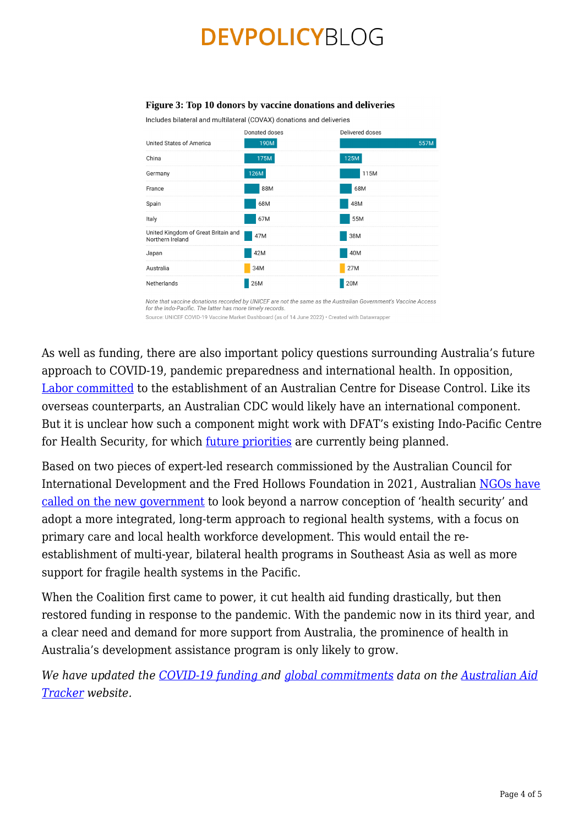#### Figure 3: Top 10 donors by vaccine donations and deliveries

Includes bilateral and multilateral (COVAX) donations and deliveries



Note that vaccine donations recorded by UNICEF are not the same as the Australian Government's Vaccine Access for the Indo-Pacific. The latter has more timely records Source: UNICEF COVID-19 Vaccine Market Dashboard (as of 14 June 2022) • Created with Datawrapper

As well as funding, there are also important policy questions surrounding Australia's future approach to COVID-19, pandemic preparedness and international health. In opposition, [Labor committed](https://www.abc.net.au/news/2022-06-14/australian-centre-for-disease-control-pandemic-covid-how-work/101148700) to the establishment of an Australian Centre for Disease Control. Like its overseas counterparts, an Australian CDC would likely have an international component. But it is unclear how such a component might work with DFAT's existing Indo-Pacific Centre for Health Security, for which <u>[future priorities](https://indopacifichealthsecurity.dfat.gov.au/future-programming-priorities)</u> are currently being planned.

Based on two pieces of expert-led research commissioned by the Australian Council for International Development and the Fred Hollows Foundation in 2021, Australian [NGOs have](https://acfid.asn.au/sites/site.acfid/files/Election%20Policy%20Brief%20-%20Health.pdf) [called on the new government](https://acfid.asn.au/sites/site.acfid/files/Election%20Policy%20Brief%20-%20Health.pdf) to look beyond a narrow conception of 'health security' and adopt a more integrated, long-term approach to regional health systems, with a focus on primary care and local health workforce development. This would entail the reestablishment of multi-year, bilateral health programs in Southeast Asia as well as more support for fragile health systems in the Pacific.

When the Coalition first came to power, it cut health aid funding drastically, but then restored funding in response to the pandemic. With the pandemic now in its third year, and a clear need and demand for more support from Australia, the prominence of health in Australia's development assistance program is only likely to grow.

*We have updated the [COVID-19 funding](https://devpolicy.org/aidtracker/covid-19-funding/) and [global commitments](https://devpolicy.org/aidtracker/commitments/) data on the [Australian Aid](https://devpolicy.org/aidtracker) [Tracker](https://devpolicy.org/aidtracker) website.*